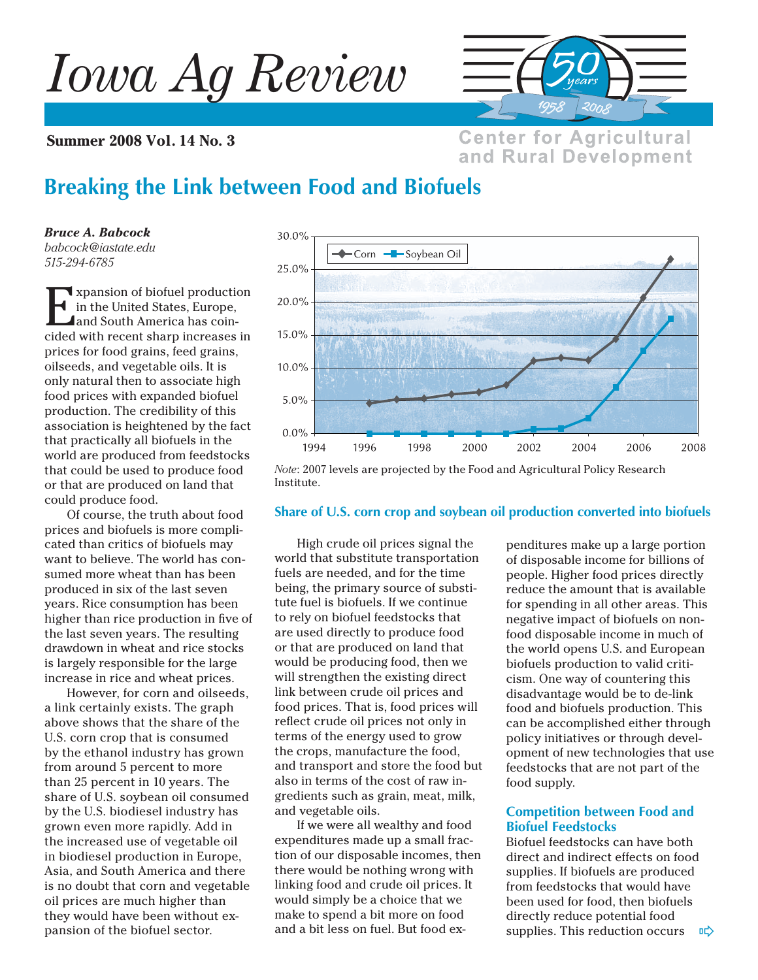# *Iowa Ag Review*



**Summer 2008 Vol. 14 No. 3**

**Center for Agricultural** and Rural Development

### **Breaking the Link between Food and Biofuels**

*Bruce A. Babcock babcock@iastate.edu 515-294-6785*

**I** xpansion of biofuel production in the United States, Europe, and South America has coincided with recent sharp increases in prices for food grains, feed grains, oilseeds, and vegetable oils. It is only natural then to associate high food prices with expanded biofuel production. The credibility of this association is heightened by the fact that practically all biofuels in the world are produced from feedstocks that could be used to produce food or that are produced on land that could produce food.

Of course, the truth about food prices and biofuels is more complicated than critics of biofuels may want to believe. The world has consumed more wheat than has been produced in six of the last seven years. Rice consumption has been higher than rice production in five of the last seven years. The resulting drawdown in wheat and rice stocks is largely responsible for the large increase in rice and wheat prices.

However, for corn and oilseeds, a link certainly exists. The graph above shows that the share of the U.S. corn crop that is consumed by the ethanol industry has grown from around 5 percent to more than 25 percent in 10 years. The share of U.S. soybean oil consumed by the U.S. biodiesel industry has grown even more rapidly. Add in the increased use of vegetable oil in biodiesel production in Europe, Asia, and South America and there is no doubt that corn and vegetable oil prices are much higher than they would have been without expansion of the biofuel sector.



*Note*: 2007 levels are projected by the Food and Agricultural Policy Research Institute.

#### **Share of U.S. corn crop and soybean oil production converted into biofuels**

High crude oil prices signal the world that substitute transportation fuels are needed, and for the time being, the primary source of substitute fuel is biofuels. If we continue to rely on biofuel feedstocks that are used directly to produce food or that are produced on land that would be producing food, then we will strengthen the existing direct link between crude oil prices and food prices. That is, food prices will reflect crude oil prices not only in terms of the energy used to grow the crops, manufacture the food, and transport and store the food but also in terms of the cost of raw ingredients such as grain, meat, milk, and vegetable oils.

If we were all wealthy and food expenditures made up a small fraction of our disposable incomes, then there would be nothing wrong with linking food and crude oil prices. It would simply be a choice that we make to spend a bit more on food and a bit less on fuel. But food expenditures make up a large portion of disposable income for billions of people. Higher food prices directly reduce the amount that is available for spending in all other areas. This negative impact of biofuels on nonfood disposable income in much of the world opens U.S. and European biofuels production to valid criticism. One way of countering this disadvantage would be to de-link food and biofuels production. This can be accomplished either through policy initiatives or through development of new technologies that use feedstocks that are not part of the food supply.

#### **Competition between Food and Biofuel Feedstocks**

Biofuel feedstocks can have both direct and indirect effects on food supplies. If biofuels are produced from feedstocks that would have been used for food, then biofuels directly reduce potential food supplies. This reduction occurs ut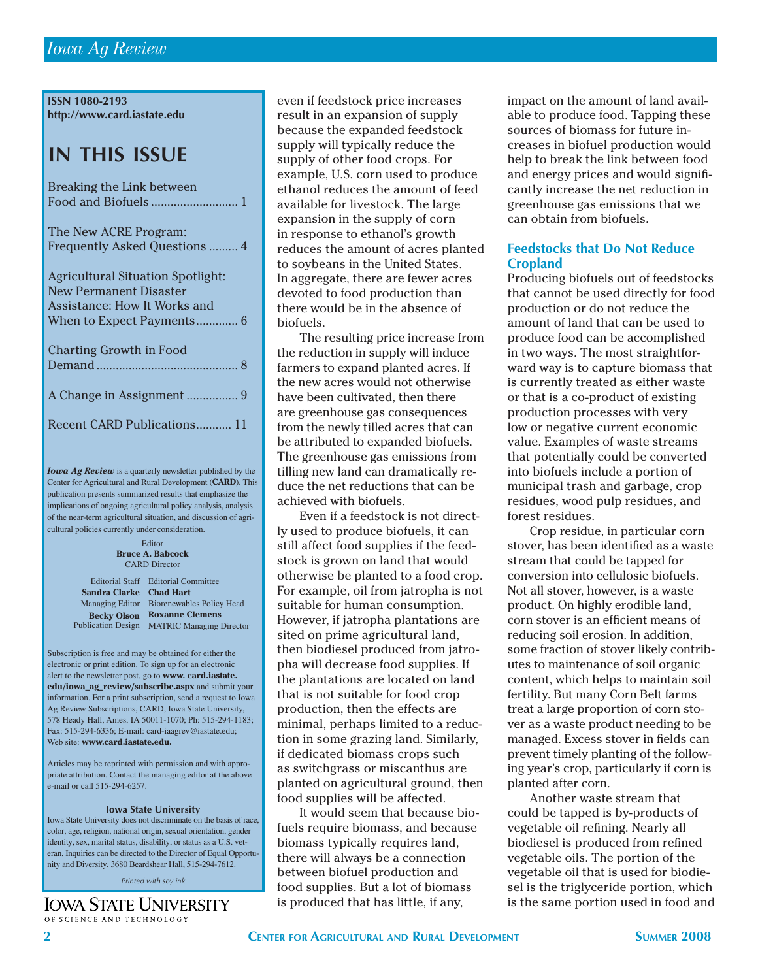**ISSN 1080-2193 http://www.card.iastate.edu**

### **IN THIS ISSUE**

| Breaking the Link between                                                                          |
|----------------------------------------------------------------------------------------------------|
| The New ACRE Program:<br>Frequently Asked Questions  4                                             |
| Agricultural Situation Spotlight:<br><b>New Permanent Disaster</b><br>Assistance: How It Works and |
| <b>Charting Growth in Food</b>                                                                     |
|                                                                                                    |
| Recent CARD Publications 11                                                                        |

*Iowa Ag Review* is a quarterly newsletter published by the Center for Agricultural and Rural Development (**CARD**). This publication presents summarized results that emphasize the implications of ongoing agricultural policy analysis, analysis of the near-term agricultural situation, and discussion of agricultural policies currently under consideration.

> Editor **Bruce A. Babcock** CARD Director

Editorial Staff Editorial Committee **Sandra Clarke Chad Hart** Managing Editor Biorenewables Policy Head **Becky Olson Roxanne Clemens** Publication Design MATRIC Managing Director

Subscription is free and may be obtained for either the electronic or print edition. To sign up for an electronic alert to the newsletter post, go to **www. card.iastate. edu/iowa\_ag\_review/subscribe.aspx** and submit your information. For a print subscription, send a request to Iowa Ag Review Subscriptions, CARD, Iowa State University, 578 Heady Hall, Ames, IA 50011-1070; Ph: 515-294-1183; Fax: 515-294-6336; E-mail: card-iaagrev@iastate.edu; Web site: **www.card.iastate.edu.**

Articles may be reprinted with permission and with appropriate attribution. Contact the managing editor at the above e-mail or call 515-294-6257.

#### **Iowa State University**

Iowa State University does not discriminate on the basis of race, color, age, religion, national origin, sexual orientation, gender identity, sex, marital status, disability, or status as a U.S. veteran. Inquiries can be directed to the Director of Equal Opportunity and Diversity, 3680 Beardshear Hall, 515-294-7612.

*Printed with soy ink*

#### **IOWA STATE UNIVERSITY** OF SCIENCE AND TECHNOLOGY

even if feedstock price increases result in an expansion of supply because the expanded feedstock supply will typically reduce the supply of other food crops. For example, U.S. corn used to produce ethanol reduces the amount of feed available for livestock. The large expansion in the supply of corn in response to ethanol's growth reduces the amount of acres planted to soybeans in the United States. In aggregate, there are fewer acres devoted to food production than there would be in the absence of biofuels.

The resulting price increase from the reduction in supply will induce farmers to expand planted acres. If the new acres would not otherwise have been cultivated, then there are greenhouse gas consequences from the newly tilled acres that can be attributed to expanded biofuels. The greenhouse gas emissions from tilling new land can dramatically reduce the net reductions that can be achieved with biofuels.

Even if a feedstock is not directly used to produce biofuels, it can still affect food supplies if the feedstock is grown on land that would otherwise be planted to a food crop. For example, oil from jatropha is not suitable for human consumption. However, if jatropha plantations are sited on prime agricultural land, then biodiesel produced from jatropha will decrease food supplies. If the plantations are located on land that is not suitable for food crop production, then the effects are minimal, perhaps limited to a reduction in some grazing land. Similarly, if dedicated biomass crops such as switchgrass or miscanthus are planted on agricultural ground, then food supplies will be affected.

It would seem that because biofuels require biomass, and because biomass typically requires land, there will always be a connection between biofuel production and food supplies. But a lot of biomass is produced that has little, if any,

impact on the amount of land available to produce food. Tapping these sources of biomass for future increases in biofuel production would help to break the link between food and energy prices and would significantly increase the net reduction in greenhouse gas emissions that we can obtain from biofuels.

#### **Feedstocks that Do Not Reduce Cropland**

Producing biofuels out of feedstocks that cannot be used directly for food production or do not reduce the amount of land that can be used to produce food can be accomplished in two ways. The most straightforward way is to capture biomass that is currently treated as either waste or that is a co-product of existing production processes with very low or negative current economic value. Examples of waste streams that potentially could be converted into biofuels include a portion of municipal trash and garbage, crop residues, wood pulp residues, and forest residues.

Crop residue, in particular corn stover, has been identified as a waste stream that could be tapped for conversion into cellulosic biofuels. Not all stover, however, is a waste product. On highly erodible land, corn stover is an efficient means of reducing soil erosion. In addition, some fraction of stover likely contributes to maintenance of soil organic content, which helps to maintain soil fertility. But many Corn Belt farms treat a large proportion of corn stover as a waste product needing to be managed. Excess stover in fields can prevent timely planting of the following year's crop, particularly if corn is planted after corn.

Another waste stream that could be tapped is by-products of vegetable oil refining. Nearly all biodiesel is produced from refined vegetable oils. The portion of the vegetable oil that is used for biodiesel is the triglyceride portion, which is the same portion used in food and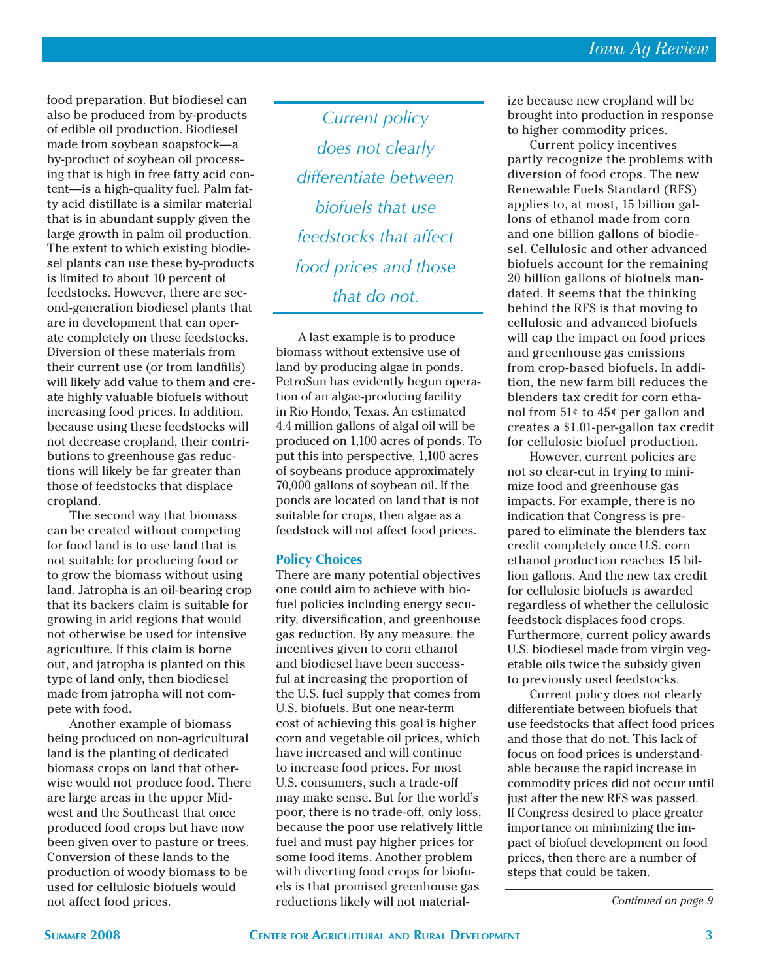food preparation. But biodiesel can also be produced from by-products of edible oil production. Biodiesel made from soybean soapstock—a by-product of soybean oil processing that is high in free fatty acid content—is a high-quality fuel. Palm fatty acid distillate is a similar material that is in abundant supply given the large growth in palm oil production. The extent to which existing biodiesel plants can use these by-products is limited to about 10 percent of feedstocks. However, there are second-generation biodiesel plants that are in development that can operate completely on these feedstocks. Diversion of these materials from their current use (or from landfills) will likely add value to them and create highly valuable biofuels without increasing food prices. In addition, because using these feedstocks will not decrease cropland, their contributions to greenhouse gas reductions will likely be far greater than those of feedstocks that displace cropland.

The second way that biomass can be created without competing for food land is to use land that is not suitable for producing food or to grow the biomass without using land. Jatropha is an oil-bearing crop that its backers claim is suitable for growing in arid regions that would not otherwise be used for intensive agriculture. If this claim is borne out, and jatropha is planted on this type of land only, then biodiesel made from jatropha will not compete with food.

Another example of biomass being produced on non-agricultural land is the planting of dedicated biomass crops on land that otherwise would not produce food. There are large areas in the upper Midwest and the Southeast that once produced food crops but have now been given over to pasture or trees. Conversion of these lands to the production of woody biomass to be used for cellulosic biofuels would not affect food prices.

*Current policy does not clearly differentiate between biofuels that use feedstocks that affect food prices and those that do not.* 

A last example is to produce biomass without extensive use of land by producing algae in ponds. PetroSun has evidently begun operation of an algae-producing facility in Rio Hondo, Texas. An estimated 4.4 million gallons of algal oil will be produced on 1,100 acres of ponds. To put this into perspective, 1,100 acres of soybeans produce approximately 70,000 gallons of soybean oil. If the ponds are located on land that is not suitable for crops, then algae as a feedstock will not affect food prices.

#### **Policy Choices**

There are many potential objectives one could aim to achieve with biofuel policies including energy security, diversification, and greenhouse gas reduction. By any measure, the incentives given to corn ethanol and biodiesel have been successful at increasing the proportion of the U.S. fuel supply that comes from U.S. biofuels. But one near-term cost of achieving this goal is higher corn and vegetable oil prices, which have increased and will continue to increase food prices. For most U.S. consumers, such a trade-off may make sense. But for the world's poor, there is no trade-off, only loss, because the poor use relatively little fuel and must pay higher prices for some food items. Another problem with diverting food crops for biofuels is that promised greenhouse gas reductions likely will not materialize because new cropland will be brought into production in response to higher commodity prices.

Current policy incentives partly recognize the problems with diversion of food crops. The new Renewable Fuels Standard (RFS) applies to, at most, 15 billion gallons of ethanol made from corn and one billion gallons of biodiesel. Cellulosic and other advanced biofuels account for the remaining 20 billion gallons of biofuels mandated. It seems that the thinking behind the RFS is that moving to cellulosic and advanced biofuels will cap the impact on food prices and greenhouse gas emissions from crop-based biofuels. In addition, the new farm bill reduces the blenders tax credit for corn ethanol from 51¢ to 45¢ per gallon and creates a \$1.01-per-gallon tax credit for cellulosic biofuel production.

However, current policies are not so clear-cut in trying to minimize food and greenhouse gas impacts. For example, there is no indication that Congress is prepared to eliminate the blenders tax credit completely once U.S. corn ethanol production reaches 15 billion gallons. And the new tax credit for cellulosic biofuels is awarded regardless of whether the cellulosic feedstock displaces food crops. Furthermore, current policy awards U.S. biodiesel made from virgin vegetable oils twice the subsidy given to previously used feedstocks.

Current policy does not clearly differentiate between biofuels that use feedstocks that affect food prices and those that do not. This lack of focus on food prices is understandable because the rapid increase in commodity prices did not occur until just after the new RFS was passed. If Congress desired to place greater importance on minimizing the impact of biofuel development on food prices, then there are a number of steps that could be taken.

*Continued on page 9*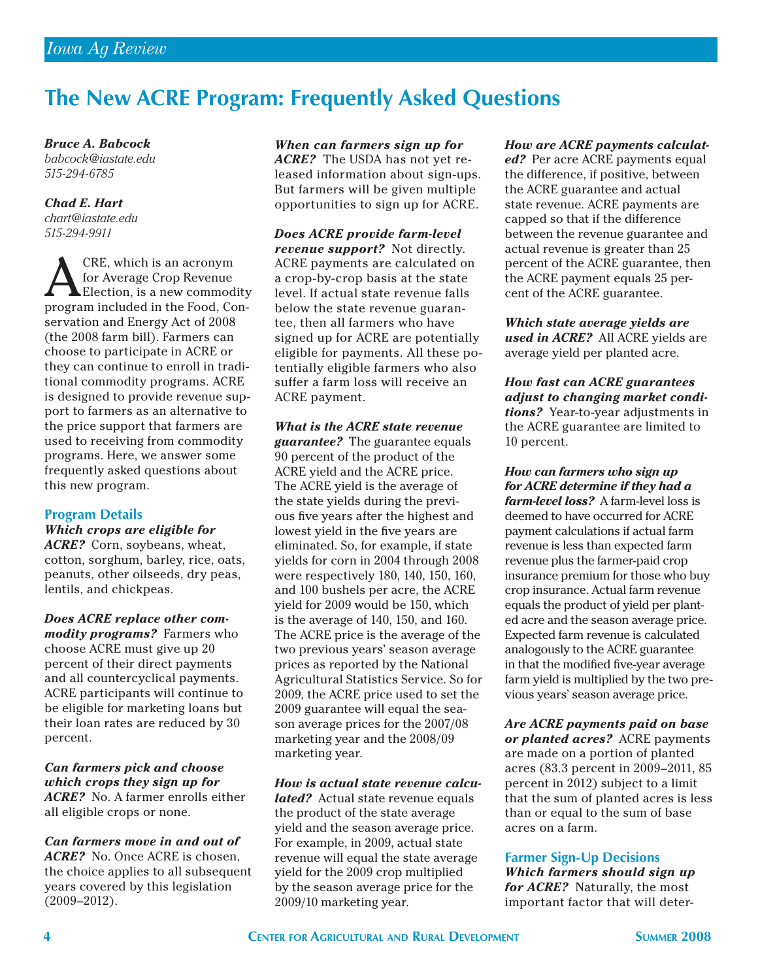### **The New ACRE Program: Frequently Asked Questions**

*Bruce A. Babcock babcock@iastate.edu 515-294-6785*

#### *Chad E. Hart*

*chart@iastate.edu 515-294-9911*

**ANCRE, which is an acronym**<br>for Average Crop Revenue<br>program included in the Food Co for Average Crop Revenue Election, is a new commodity program included in the Food, Conservation and Energy Act of 2008 (the 2008 farm bill). Farmers can choose to participate in ACRE or they can continue to enroll in traditional commodity programs. ACRE is designed to provide revenue support to farmers as an alternative to the price support that farmers are used to receiving from commodity programs. Here, we answer some frequently asked questions about this new program.

#### **Program Details**

*Which crops are eligible for* 

*ACRE?* Corn, soybeans, wheat, cotton, sorghum, barley, rice, oats, peanuts, other oilseeds, dry peas, lentils, and chickpeas.

*Does ACRE replace other commodity programs?* Farmers who choose ACRE must give up 20 percent of their direct payments and all countercyclical payments. ACRE participants will continue to be eligible for marketing loans but their loan rates are reduced by 30 percent.

*Can farmers pick and choose which crops they sign up for ACRE?* No. A farmer enrolls either all eligible crops or none.

*Can farmers move in and out of ACRE?* No. Once ACRE is chosen, the choice applies to all subsequent years covered by this legislation (2009–2012).

*When can farmers sign up for ACRE?* The USDA has not yet released information about sign-ups. But farmers will be given multiple opportunities to sign up for ACRE.

*Does ACRE provide farm-level revenue support?* Not directly. ACRE payments are calculated on a crop-by-crop basis at the state level. If actual state revenue falls below the state revenue guarantee, then all farmers who have signed up for ACRE are potentially eligible for payments. All these potentially eligible farmers who also suffer a farm loss will receive an ACRE payment.

*What is the ACRE state revenue guarantee?* The guarantee equals 90 percent of the product of the ACRE yield and the ACRE price. The ACRE yield is the average of the state yields during the previous five years after the highest and lowest yield in the five years are eliminated. So, for example, if state yields for corn in 2004 through 2008 were respectively 180, 140, 150, 160, and 100 bushels per acre, the ACRE yield for 2009 would be 150, which is the average of 140, 150, and 160. The ACRE price is the average of the two previous years' season average prices as reported by the National Agricultural Statistics Service. So for 2009, the ACRE price used to set the 2009 guarantee will equal the season average prices for the 2007/08 marketing year and the 2008/09 marketing year.

*How is actual state revenue calculated?* Actual state revenue equals the product of the state average yield and the season average price. For example, in 2009, actual state revenue will equal the state average yield for the 2009 crop multiplied by the season average price for the 2009/10 marketing year.

*How are ACRE payments calculat-*

*ed?* Per acre ACRE payments equal the difference, if positive, between the ACRE guarantee and actual state revenue. ACRE payments are capped so that if the difference between the revenue guarantee and actual revenue is greater than 25 percent of the ACRE guarantee, then the ACRE payment equals 25 percent of the ACRE guarantee.

*Which state average yields are used in ACRE?* All ACRE yields are average yield per planted acre.

*How fast can ACRE guarantees adjust to changing market conditions?* Year-to-year adjustments in the ACRE guarantee are limited to 10 percent.

*How can farmers who sign up for ACRE determine if they had a farm-level loss?* A farm-level loss is deemed to have occurred for ACRE payment calculations if actual farm revenue is less than expected farm revenue plus the farmer-paid crop insurance premium for those who buy crop insurance. Actual farm revenue equals the product of yield per planted acre and the season average price. Expected farm revenue is calculated analogously to the ACRE guarantee in that the modified five-year average farm yield is multiplied by the two previous years' season average price.

*Are ACRE payments paid on base or planted acres?* ACRE payments are made on a portion of planted acres (83.3 percent in 2009–2011, 85 percent in 2012) subject to a limit that the sum of planted acres is less than or equal to the sum of base acres on a farm.

#### **Farmer Sign-Up Decisions**

*Which farmers should sign up for ACRE?* Naturally, the most important factor that will deter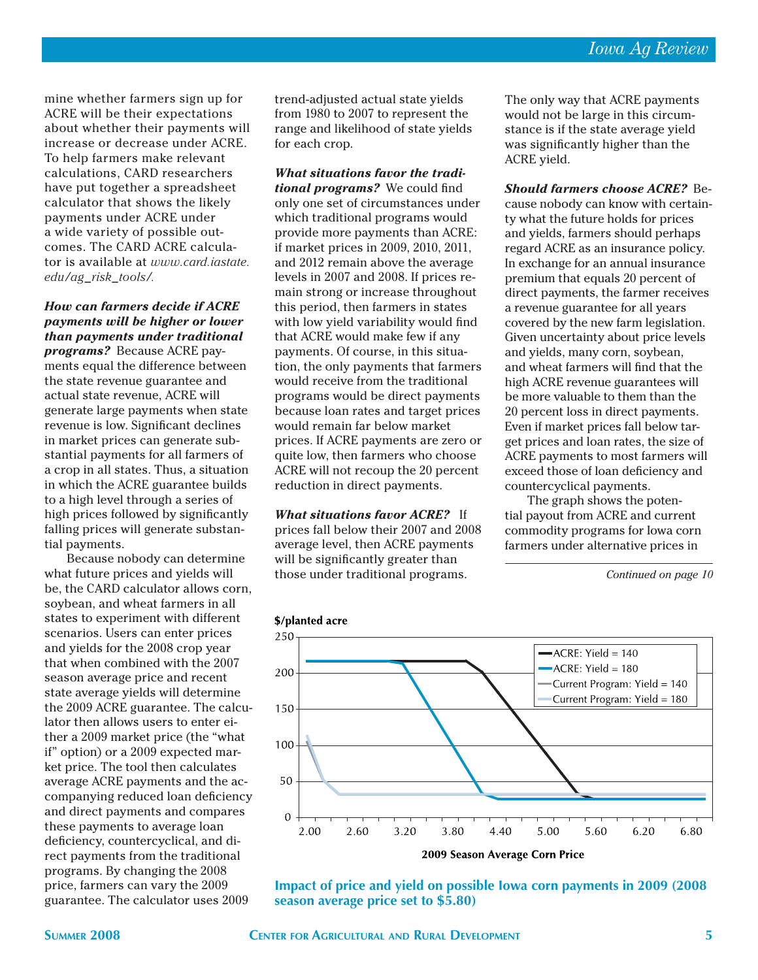mine whether farmers sign up for ACRE will be their expectations about whether their payments will increase or decrease under ACRE. To help farmers make relevant calculations, CARD researchers have put together a spreadsheet calculator that shows the likely payments under ACRE under a wide variety of possible outcomes. The CARD ACRE calculator is available at *www.card.iastate. edu/ag\_risk\_tools/.*

#### *How can farmers decide if ACRE payments will be higher or lower than payments under traditional*

*programs?* Because ACRE payments equal the difference between the state revenue guarantee and actual state revenue, ACRE will generate large payments when state revenue is low. Significant declines in market prices can generate substantial payments for all farmers of a crop in all states. Thus, a situation in which the ACRE guarantee builds to a high level through a series of high prices followed by significantly falling prices will generate substantial payments.

Because nobody can determine what future prices and yields will be, the CARD calculator allows corn, soybean, and wheat farmers in all states to experiment with different scenarios. Users can enter prices and yields for the 2008 crop year that when combined with the 2007 season average price and recent state average yields will determine the 2009 ACRE guarantee. The calculator then allows users to enter either a 2009 market price (the "what if" option) or a 2009 expected market price. The tool then calculates average ACRE payments and the accompanying reduced loan deficiency and direct payments and compares these payments to average loan deficiency, countercyclical, and direct payments from the traditional programs. By changing the 2008 price, farmers can vary the 2009 guarantee. The calculator uses 2009

trend-adjusted actual state yields from 1980 to 2007 to represent the range and likelihood of state yields for each crop.

*What situations favor the traditional programs?* We could find only one set of circumstances under which traditional programs would provide more payments than ACRE: if market prices in 2009, 2010, 2011, and 2012 remain above the average levels in 2007 and 2008. If prices remain strong or increase throughout this period, then farmers in states with low yield variability would find that ACRE would make few if any payments. Of course, in this situation, the only payments that farmers would receive from the traditional programs would be direct payments because loan rates and target prices would remain far below market prices. If ACRE payments are zero or quite low, then farmers who choose ACRE will not recoup the 20 percent reduction in direct payments.

*What situations favor ACRE?* If prices fall below their 2007 and 2008 average level, then ACRE payments will be significantly greater than those under traditional programs.

The only way that ACRE payments would not be large in this circumstance is if the state average yield was significantly higher than the ACRE yield.

*Should farmers choose ACRE?* Because nobody can know with certainty what the future holds for prices and yields, farmers should perhaps regard ACRE as an insurance policy. In exchange for an annual insurance premium that equals 20 percent of direct payments, the farmer receives a revenue guarantee for all years covered by the new farm legislation. Given uncertainty about price levels and yields, many corn, soybean, and wheat farmers will find that the high ACRE revenue guarantees will be more valuable to them than the 20 percent loss in direct payments. Even if market prices fall below target prices and loan rates, the size of ACRE payments to most farmers will exceed those of loan deficiency and countercyclical payments.

The graph shows the potential payout from ACRE and current commodity programs for Iowa corn farmers under alternative prices in

*Continued on page 10*



**Impact of price and yield on possible Iowa corn payments in 2009 (2008 season average price set to \$5.80)**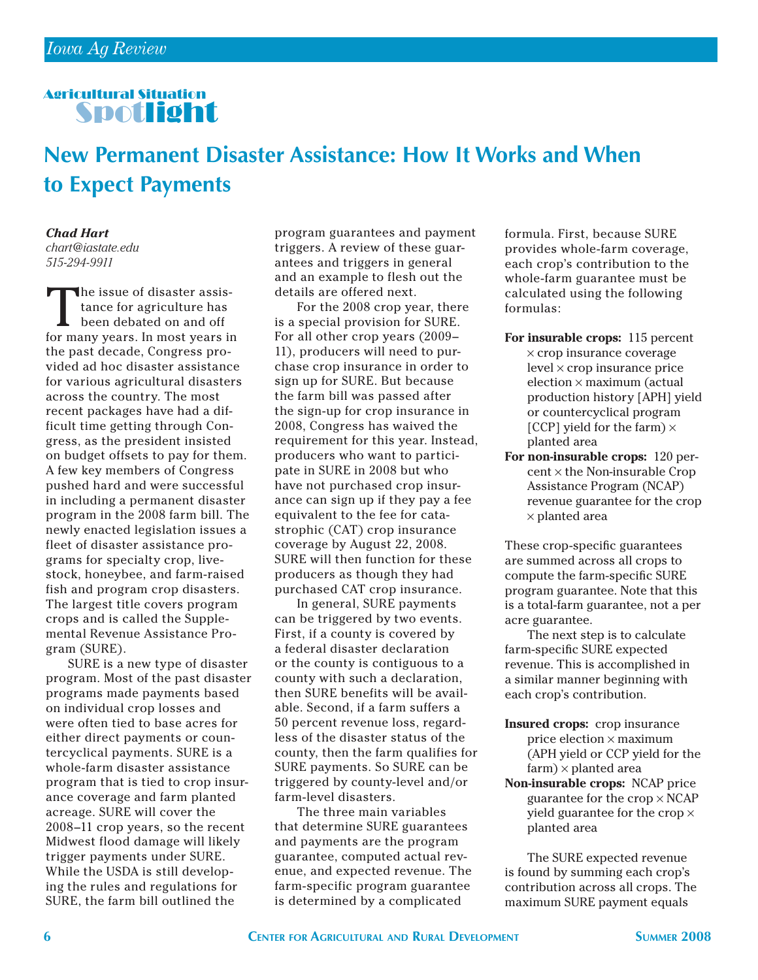### Agricultural Situation Spotlight

### **New Permanent Disaster Assistance: How It Works and When to Expect Payments**

*Chad Hart chart@iastate.edu*

*515-294-9911*

The issue of disaster assistance for agriculture has<br>been debated on and off<br>for many years. In most years in tance for agriculture has been debated on and off for many years. In most years in the past decade, Congress provided ad hoc disaster assistance for various agricultural disasters across the country. The most recent packages have had a difficult time getting through Congress, as the president insisted on budget offsets to pay for them. A few key members of Congress pushed hard and were successful in including a permanent disaster program in the 2008 farm bill. The newly enacted legislation issues a fleet of disaster assistance programs for specialty crop, livestock, honeybee, and farm-raised fish and program crop disasters. The largest title covers program crops and is called the Supplemental Revenue Assistance Program (SURE).

SURE is a new type of disaster program. Most of the past disaster programs made payments based on individual crop losses and were often tied to base acres for either direct payments or countercyclical payments. SURE is a whole-farm disaster assistance program that is tied to crop insurance coverage and farm planted acreage. SURE will cover the 2008–11 crop years, so the recent Midwest flood damage will likely trigger payments under SURE. While the USDA is still developing the rules and regulations for SURE, the farm bill outlined the

program guarantees and payment triggers. A review of these guarantees and triggers in general and an example to flesh out the details are offered next.

For the 2008 crop year, there is a special provision for SURE. For all other crop years (2009– 11), producers will need to purchase crop insurance in order to sign up for SURE. But because the farm bill was passed after the sign-up for crop insurance in 2008, Congress has waived the requirement for this year. Instead, producers who want to participate in SURE in 2008 but who have not purchased crop insurance can sign up if they pay a fee equivalent to the fee for catastrophic (CAT) crop insurance coverage by August 22, 2008. SURE will then function for these producers as though they had purchased CAT crop insurance.

In general, SURE payments can be triggered by two events. First, if a county is covered by a federal disaster declaration or the county is contiguous to a county with such a declaration, then SURE benefits will be available. Second, if a farm suffers a 50 percent revenue loss, regardless of the disaster status of the county, then the farm qualifies for SURE payments. So SURE can be triggered by county-level and/or farm-level disasters.

The three main variables that determine SURE guarantees and payments are the program guarantee, computed actual revenue, and expected revenue. The farm-specific program guarantee is determined by a complicated

formula. First, because SURE provides whole-farm coverage, each crop's contribution to the whole-farm guarantee must be calculated using the following formulas:

- **For insurable crops:** 115 percent × crop insurance coverage level  $\times$  crop insurance price election × maximum (actual production history [APH] yield or countercyclical program [CCP] yield for the farm)  $\times$ planted area
- **For non-insurable crops:** 120 per $cent \times the Non-insurable$  Crop Assistance Program (NCAP) revenue guarantee for the crop  $\times$  planted area

These crop-specific guarantees are summed across all crops to compute the farm-specific SURE program guarantee. Note that this is a total-farm guarantee, not a per acre guarantee.

The next step is to calculate farm-specific SURE expected revenue. This is accomplished in a similar manner beginning with each crop's contribution.

- **Insured crops:** crop insurance price election  $\times$  maximum (APH yield or CCP yield for the  $farm$ )  $\times$  planted area
- **Non-insurable crops:** NCAP price guarantee for the  $\text{crop} \times \text{NCAP}$ yield guarantee for the crop  $\times$ planted area

The SURE expected revenue is found by summing each crop's contribution across all crops. The maximum SURE payment equals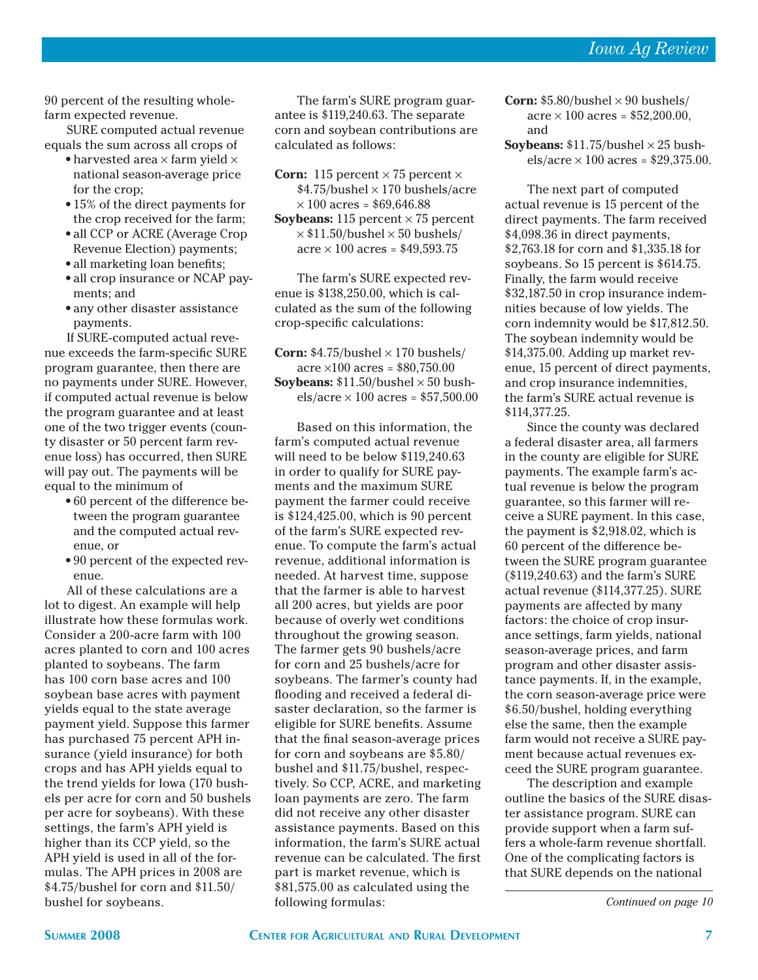90 percent of the resulting wholefarm expected revenue.

SURE computed actual revenue equals the sum across all crops of

- harvested area  $\times$  farm yield  $\times$ national season-average price for the crop;
- 15% of the direct payments for the crop received for the farm;
- all CCP or ACRE (Average Crop Revenue Election) payments;
- all marketing loan benefits;
- all crop insurance or NCAP payments; and
- any other disaster assistance payments.

If SURE-computed actual revenue exceeds the farm-specific SURE program guarantee, then there are no payments under SURE. However, if computed actual revenue is below the program guarantee and at least one of the two trigger events (county disaster or 50 percent farm revenue loss) has occurred, then SURE will pay out. The payments will be equal to the minimum of

- 60 percent of the difference between the program guarantee and the computed actual revenue, or
- 90 percent of the expected revenue.

All of these calculations are a lot to digest. An example will help illustrate how these formulas work. Consider a 200-acre farm with 100 acres planted to corn and 100 acres planted to soybeans. The farm has 100 corn base acres and 100 soybean base acres with payment yields equal to the state average payment yield. Suppose this farmer has purchased 75 percent APH insurance (yield insurance) for both crops and has APH yields equal to the trend yields for Iowa (170 bushels per acre for corn and 50 bushels per acre for soybeans). With these settings, the farm's APH yield is higher than its CCP yield, so the APH yield is used in all of the formulas. The APH prices in 2008 are \$4.75/bushel for corn and \$11.50/ bushel for soybeans.

The farm's SURE program guarantee is \$119,240.63. The separate corn and soybean contributions are calculated as follows:

**Corn:** 115 percent  $\times$  75 percent  $\times$  $$4.75/bushel \times 170 bushels/acre$  $\times$  100 acres = \$69,646.88 **Soybeans:** 115 percent  $\times$  75 percent  $\times$  \$11.50/bushel  $\times$  50 bushels/  $\text{acre} \times 100 \text{ acres} = $49,593.75$ 

The farm's SURE expected revenue is \$138,250.00, which is calculated as the sum of the following crop-specific calculations:

**Corn:**  $$4.75/bushel \times 170 bushels/$  $\arccos \times 100 \arccos = $80,750.00$ **Soybeans:**  $$11.50/bushel \times 50 bush$ els/acre $\times$  100 acres = \$57,500.00

Based on this information, the farm's computed actual revenue will need to be below \$119,240.63 in order to qualify for SURE payments and the maximum SURE payment the farmer could receive is \$124,425.00, which is 90 percent of the farm's SURE expected revenue. To compute the farm's actual revenue, additional information is needed. At harvest time, suppose that the farmer is able to harvest all 200 acres, but yields are poor because of overly wet conditions throughout the growing season. The farmer gets 90 bushels/acre for corn and 25 bushels/acre for soybeans. The farmer's county had flooding and received a federal disaster declaration, so the farmer is eligible for SURE benefits. Assume that the final season-average prices for corn and soybeans are \$5.80/ bushel and \$11.75/bushel, respectively. So CCP, ACRE, and marketing loan payments are zero. The farm did not receive any other disaster assistance payments. Based on this information, the farm's SURE actual revenue can be calculated. The first part is market revenue, which is \$81,575.00 as calculated using the following formulas:

- **Corn:**  $$5.80/bushel \times 90 bushels/$  $\text{acre} \times 100 \text{ acres} = $52,200.00,$ and
- **Soybeans:**  $$11.75/bushel \times 25 bush$  $els/acre \times 100 acres = $29,375.00.$

The next part of computed actual revenue is 15 percent of the direct payments. The farm received \$4,098.36 in direct payments, \$2,763.18 for corn and \$1,335.18 for soybeans. So 15 percent is \$614.75. Finally, the farm would receive \$32,187.50 in crop insurance indemnities because of low yields. The corn indemnity would be \$17,812.50. The soybean indemnity would be \$14,375.00. Adding up market revenue, 15 percent of direct payments, and crop insurance indemnities, the farm's SURE actual revenue is \$114,377.25.

Since the county was declared a federal disaster area, all farmers in the county are eligible for SURE payments. The example farm's actual revenue is below the program guarantee, so this farmer will receive a SURE payment. In this case, the payment is \$2,918.02, which is 60 percent of the difference between the SURE program guarantee (\$119,240.63) and the farm's SURE actual revenue (\$114,377.25). SURE payments are affected by many factors: the choice of crop insurance settings, farm yields, national season-average prices, and farm program and other disaster assistance payments. If, in the example, the corn season-average price were \$6.50/bushel, holding everything else the same, then the example farm would not receive a SURE payment because actual revenues exceed the SURE program guarantee.

The description and example outline the basics of the SURE disaster assistance program. SURE can provide support when a farm suffers a whole-farm revenue shortfall. One of the complicating factors is that SURE depends on the national

*Continued on page 10*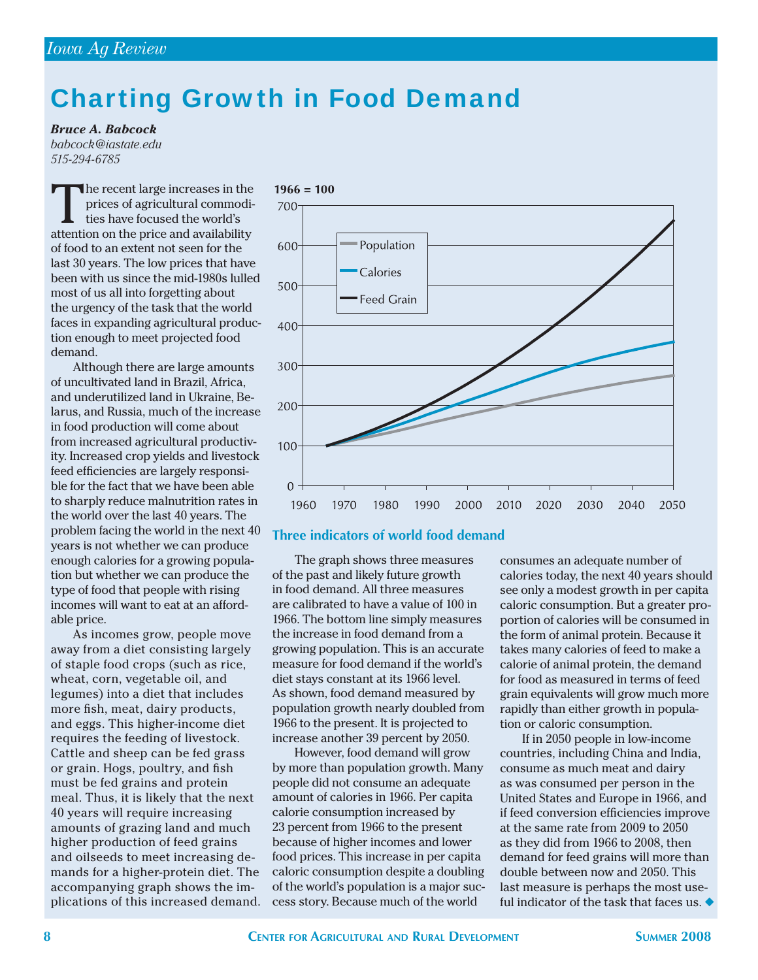## Charting Growth in Food Demand

*Bruce A. Babcock babcock@iastate.edu 515-294-6785*

The recent large increases in the<br>prices of agricultural commodi-<br>ties have focused the world's<br>attention on the price and availability prices of agricultural commodities have focused the world's attention on the price and availability of food to an extent not seen for the last 30 years. The low prices that have been with us since the mid-1980s lulled most of us all into forgetting about the urgency of the task that the world faces in expanding agricultural production enough to meet projected food demand.

Although there are large amounts of uncultivated land in Brazil, Africa, and underutilized land in Ukraine, Belarus, and Russia, much of the increase in food production will come about from increased agricultural productivity. Increased crop yields and livestock feed efficiencies are largely responsible for the fact that we have been able to sharply reduce malnutrition rates in the world over the last 40 years. The problem facing the world in the next 40 years is not whether we can produce enough calories for a growing population but whether we can produce the type of food that people with rising incomes will want to eat at an affordable price.

As incomes grow, people move away from a diet consisting largely of staple food crops (such as rice, wheat, corn, vegetable oil, and legumes) into a diet that includes more fish, meat, dairy products, and eggs. This higher-income diet requires the feeding of livestock. Cattle and sheep can be fed grass or grain. Hogs, poultry, and fish must be fed grains and protein meal. Thus, it is likely that the next 40 years will require increasing amounts of grazing land and much higher production of feed grains and oilseeds to meet increasing demands for a higher-protein diet. The accompanying graph shows the implications of this increased demand.



#### **Three indicators of world food demand**

The graph shows three measures of the past and likely future growth in food demand. All three measures are calibrated to have a value of 100 in 1966. The bottom line simply measures the increase in food demand from a growing population. This is an accurate measure for food demand if the world's diet stays constant at its 1966 level. As shown, food demand measured by population growth nearly doubled from 1966 to the present. It is projected to increase another 39 percent by 2050.

However, food demand will grow by more than population growth. Many people did not consume an adequate amount of calories in 1966. Per capita calorie consumption increased by 23 percent from 1966 to the present because of higher incomes and lower food prices. This increase in per capita caloric consumption despite a doubling of the world's population is a major success story. Because much of the world

consumes an adequate number of calories today, the next 40 years should see only a modest growth in per capita caloric consumption. But a greater proportion of calories will be consumed in the form of animal protein. Because it takes many calories of feed to make a calorie of animal protein, the demand for food as measured in terms of feed grain equivalents will grow much more rapidly than either growth in population or caloric consumption.

If in 2050 people in low-income countries, including China and India, consume as much meat and dairy as was consumed per person in the United States and Europe in 1966, and if feed conversion efficiencies improve at the same rate from 2009 to 2050 as they did from 1966 to 2008, then demand for feed grains will more than double between now and 2050. This last measure is perhaps the most useful indicator of the task that faces us. ◆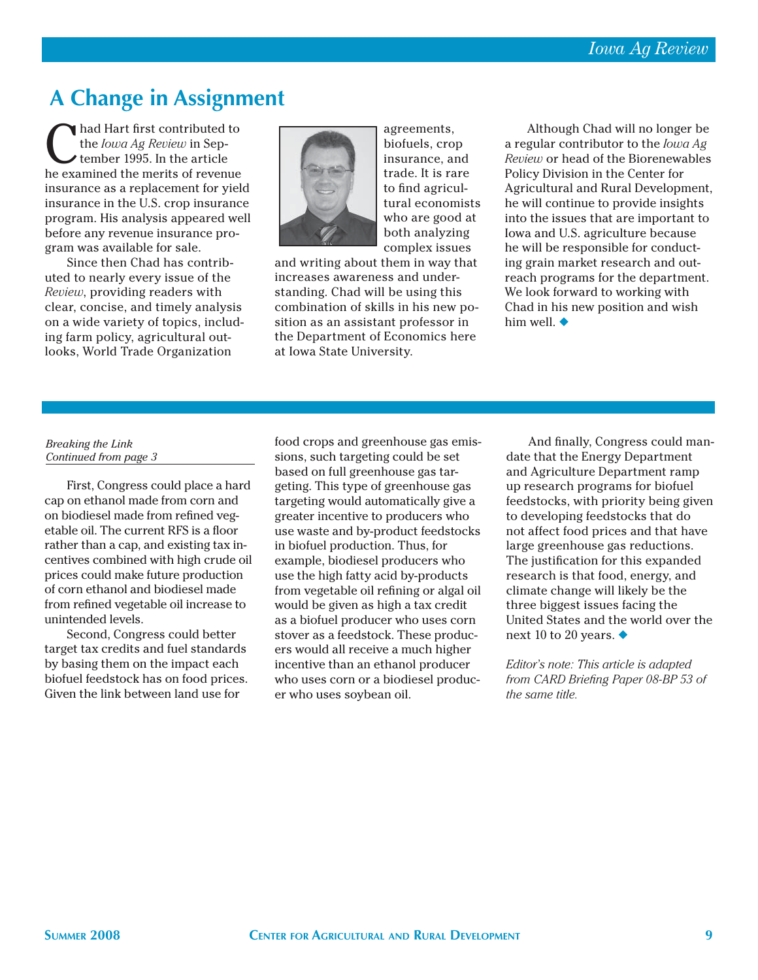### **A Change in Assignment**

I had Hart first contributed to the *Iowa Ag Review* in September 1995. In the article he examined the merits of revenue insurance as a replacement for yield insurance in the U.S. crop insurance program. His analysis appeared well before any revenue insurance program was available for sale.

Since then Chad has contributed to nearly every issue of the *Review*, providing readers with clear, concise, and timely analysis on a wide variety of topics, including farm policy, agricultural outlooks, World Trade Organization



agreements, biofuels, crop insurance, and trade. It is rare to find agricultural economists who are good at both analyzing complex issues

and writing about them in way that increases awareness and understanding. Chad will be using this combination of skills in his new position as an assistant professor in the Department of Economics here at Iowa State University.

Although Chad will no longer be a regular contributor to the *Iowa Ag Review* or head of the Biorenewables Policy Division in the Center for Agricultural and Rural Development, he will continue to provide insights into the issues that are important to Iowa and U.S. agriculture because he will be responsible for conducting grain market research and outreach programs for the department. We look forward to working with Chad in his new position and wish him well. ◆

#### *Breaking the Link Continued from page 3*

First, Congress could place a hard cap on ethanol made from corn and on biodiesel made from refined vegetable oil. The current RFS is a floor rather than a cap, and existing tax incentives combined with high crude oil prices could make future production of corn ethanol and biodiesel made from refined vegetable oil increase to unintended levels.

Second, Congress could better target tax credits and fuel standards by basing them on the impact each biofuel feedstock has on food prices. Given the link between land use for

food crops and greenhouse gas emissions, such targeting could be set based on full greenhouse gas targeting. This type of greenhouse gas targeting would automatically give a greater incentive to producers who use waste and by-product feedstocks in biofuel production. Thus, for example, biodiesel producers who use the high fatty acid by-products from vegetable oil refining or algal oil would be given as high a tax credit as a biofuel producer who uses corn stover as a feedstock. These producers would all receive a much higher incentive than an ethanol producer who uses corn or a biodiesel producer who uses soybean oil.

And finally, Congress could mandate that the Energy Department and Agriculture Department ramp up research programs for biofuel feedstocks, with priority being given to developing feedstocks that do not affect food prices and that have large greenhouse gas reductions. The justification for this expanded research is that food, energy, and climate change will likely be the three biggest issues facing the United States and the world over the next 10 to 20 years. ◆

*Editor's note: This article is adapted from CARD Briefing Paper 08-BP 53 of the same title.*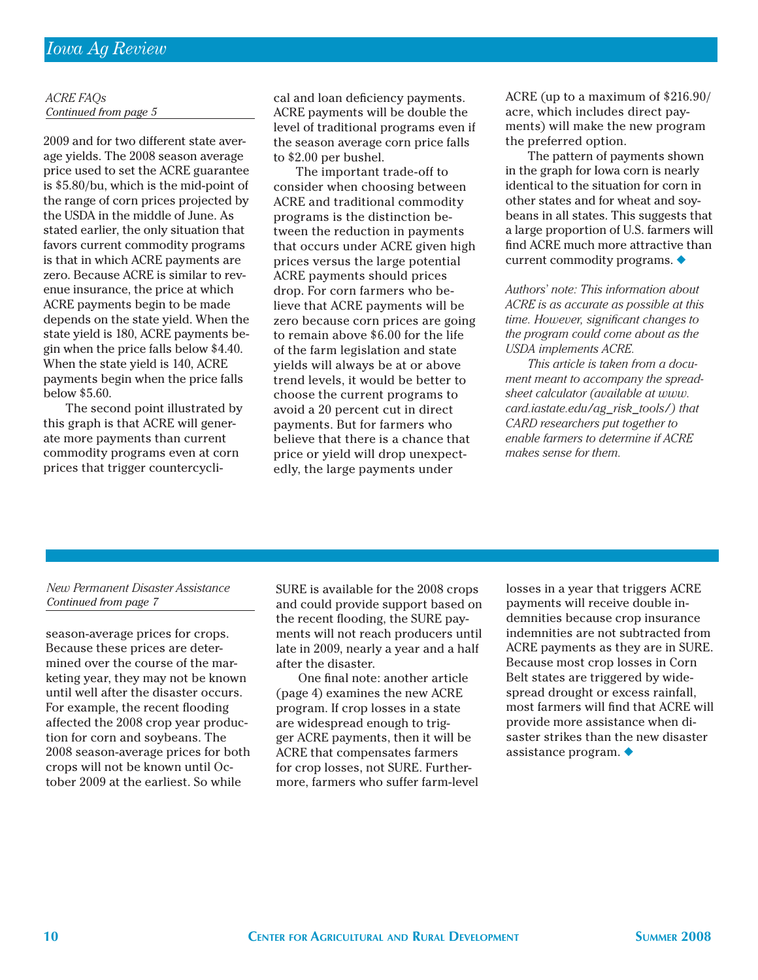#### *ACRE FAQs Continued from page 5*

2009 and for two different state average yields. The 2008 season average price used to set the ACRE guarantee is \$5.80/bu, which is the mid-point of the range of corn prices projected by the USDA in the middle of June. As stated earlier, the only situation that favors current commodity programs is that in which ACRE payments are zero. Because ACRE is similar to revenue insurance, the price at which ACRE payments begin to be made depends on the state yield. When the state yield is 180, ACRE payments begin when the price falls below \$4.40. When the state yield is 140, ACRE payments begin when the price falls below \$5.60.

The second point illustrated by this graph is that ACRE will generate more payments than current commodity programs even at corn prices that trigger countercyclical and loan deficiency payments. ACRE payments will be double the level of traditional programs even if the season average corn price falls to \$2.00 per bushel.

The important trade-off to consider when choosing between ACRE and traditional commodity programs is the distinction between the reduction in payments that occurs under ACRE given high prices versus the large potential ACRE payments should prices drop. For corn farmers who believe that ACRE payments will be zero because corn prices are going to remain above \$6.00 for the life of the farm legislation and state yields will always be at or above trend levels, it would be better to choose the current programs to avoid a 20 percent cut in direct payments. But for farmers who believe that there is a chance that price or yield will drop unexpectedly, the large payments under

ACRE (up to a maximum of \$216.90/ acre, which includes direct payments) will make the new program the preferred option.

The pattern of payments shown in the graph for Iowa corn is nearly identical to the situation for corn in other states and for wheat and soybeans in all states. This suggests that a large proportion of U.S. farmers will find ACRE much more attractive than current commodity programs. ◆

*Authors' note: This information about ACRE is as accurate as possible at this time. However, significant changes to the program could come about as the USDA implements ACRE.* 

*This article is taken from a document meant to accompany the spreadsheet calculator (available at www. card.iastate.edu/ag\_risk\_tools/) that CARD researchers put together to enable farmers to determine if ACRE makes sense for them.* 

#### *New Permanent Disaster Assistance Continued from page 7*

season-average prices for crops. Because these prices are determined over the course of the marketing year, they may not be known until well after the disaster occurs. For example, the recent flooding affected the 2008 crop year production for corn and soybeans. The 2008 season-average prices for both crops will not be known until October 2009 at the earliest. So while

SURE is available for the 2008 crops and could provide support based on the recent flooding, the SURE payments will not reach producers until late in 2009, nearly a year and a half after the disaster.

One final note: another article (page 4) examines the new ACRE program. If crop losses in a state are widespread enough to trigger ACRE payments, then it will be ACRE that compensates farmers for crop losses, not SURE. Furthermore, farmers who suffer farm-level losses in a year that triggers ACRE payments will receive double indemnities because crop insurance indemnities are not subtracted from ACRE payments as they are in SURE. Because most crop losses in Corn Belt states are triggered by widespread drought or excess rainfall, most farmers will find that ACRE will provide more assistance when disaster strikes than the new disaster assistance program. ◆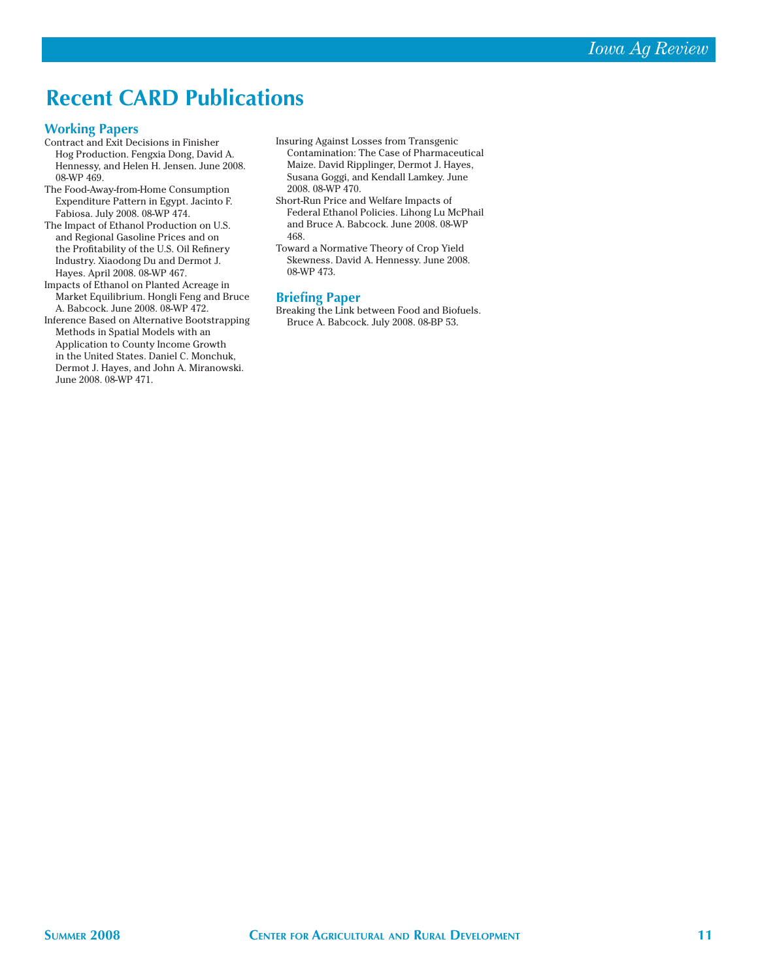### **Recent CARD Publications**

#### **Working Papers**

- Contract and Exit Decisions in Finisher Hog Production. Fengxia Dong, David A. Hennessy, and Helen H. Jensen. June 2008. 08-WP 469.
- The Food-Away-from-Home Consumption Expenditure Pattern in Egypt. Jacinto F. Fabiosa. July 2008. 08-WP 474.
- The Impact of Ethanol Production on U.S. and Regional Gasoline Prices and on the Profitability of the U.S. Oil Refinery Industry. Xiaodong Du and Dermot J. Hayes. April 2008. 08-WP 467.
- Impacts of Ethanol on Planted Acreage in Market Equilibrium. Hongli Feng and Bruce A. Babcock. June 2008. 08-WP 472.

Inference Based on Alternative Bootstrapping Methods in Spatial Models with an Application to County Income Growth in the United States. Daniel C. Monchuk, Dermot J. Hayes, and John A. Miranowski. June 2008. 08-WP 471.

- Insuring Against Losses from Transgenic Contamination: The Case of Pharmaceutical
- Maize. David Ripplinger, Dermot J. Hayes, Susana Goggi, and Kendall Lamkey. June 2008. 08-WP 470.
- Short-Run Price and Welfare Impacts of Federal Ethanol Policies. Lihong Lu McPhail and Bruce A. Babcock. June 2008. 08-WP 468.
- Toward a Normative Theory of Crop Yield Skewness. David A. Hennessy. June 2008. 08-WP 473.

#### **Briefing Paper**

Breaking the Link between Food and Biofuels. Bruce A. Babcock. July 2008. 08-BP 53.